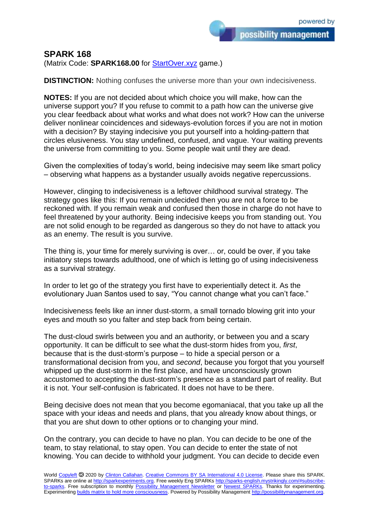possibility management

## **SPARK 168**

(Matrix Code: **SPARK168.00** for [StartOver.xyz](https://startoverxyz.mystrikingly.com/) game.)

**DISTINCTION:** Nothing confuses the universe more than your own indecisiveness.

**NOTES:** If you are not decided about which choice you will make, how can the universe support you? If you refuse to commit to a path how can the universe give you clear feedback about what works and what does not work? How can the universe deliver nonlinear coincidences and sideways-evolution forces if you are not in motion with a decision? By staying indecisive you put yourself into a holding-pattern that circles elusiveness. You stay undefined, confused, and vague. Your waiting prevents the universe from committing to you. Some people wait until they are dead.

Given the complexities of today's world, being indecisive may seem like smart policy – observing what happens as a bystander usually avoids negative repercussions.

However, clinging to indecisiveness is a leftover childhood survival strategy. The strategy goes like this: If you remain undecided then you are not a force to be reckoned with. If you remain weak and confused then those in charge do not have to feel threatened by your authority. Being indecisive keeps you from standing out. You are not solid enough to be regarded as dangerous so they do not have to attack you as an enemy. The result is you survive.

The thing is, your time for merely surviving is over… or, could be over, if you take initiatory steps towards adulthood, one of which is letting go of using indecisiveness as a survival strategy.

In order to let go of the strategy you first have to experientially detect it. As the evolutionary Juan Santos used to say, "You cannot change what you can't face."

Indecisiveness feels like an inner dust-storm, a small tornado blowing grit into your eyes and mouth so you falter and step back from being certain.

The dust-cloud swirls between you and an authority, or between you and a scary opportunity. It can be difficult to see what the dust-storm hides from you, *first*, because that is the dust-storm's purpose – to hide a special person or a transformational decision from you, and *second*, because you forgot that you yourself whipped up the dust-storm in the first place, and have unconsciously grown accustomed to accepting the dust-storm's presence as a standard part of reality. But it is not. Your self-confusion is fabricated. It does not have to be there.

Being decisive does not mean that you become egomaniacal, that you take up all the space with your ideas and needs and plans, that you already know about things, or that you are shut down to other options or to changing your mind.

On the contrary, you can decide to have no plan. You can decide to be one of the team, to stay relational, to stay open. You can decide to enter the state of not knowing. You can decide to withhold your judgment. You can decide to decide even